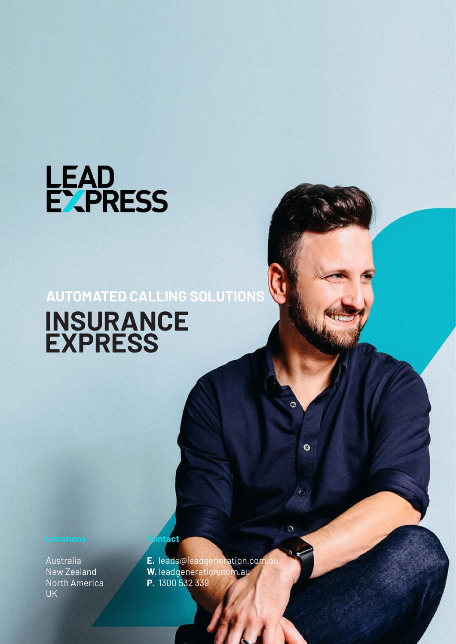

## **AUTOMATED CALLING SOLUTIONS INSURANCE EXPRESS**

Australia New Zealand North America UK

**E.** leads@leadgeneration.com.au **W.** leadgeneration.com.au **P.** 1300 532 339

 $\ddot{\mathbf{O}}$ 

n

**Contact**